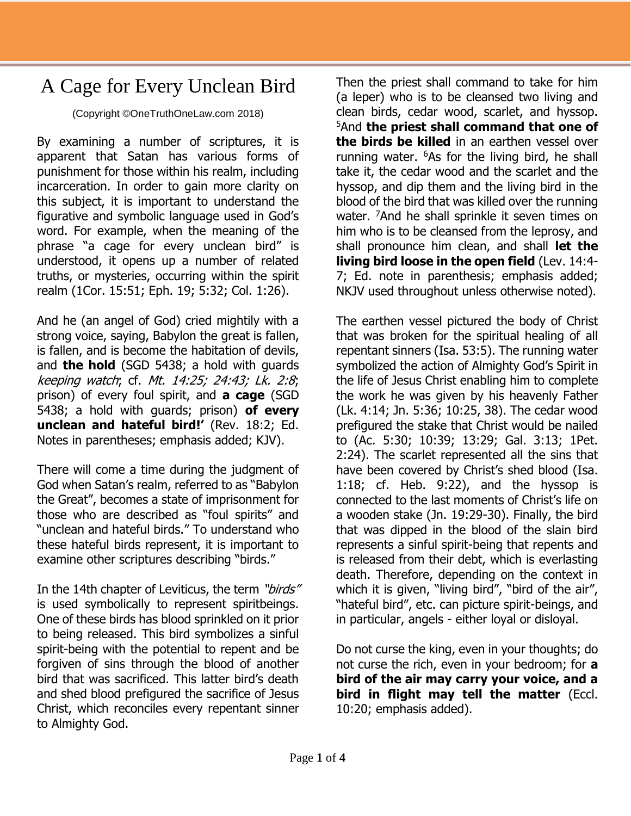## A Cage for Every Unclean Bird

(Copyright ©OneTruthOneLaw.com 2018)

By examining a number of scriptures, it is apparent that Satan has various forms of punishment for those within his realm, including incarceration. In order to gain more clarity on this subject, it is important to understand the figurative and symbolic language used in God's word. For example, when the meaning of the phrase "a cage for every unclean bird" is understood, it opens up a number of related truths, or mysteries, occurring within the spirit realm (1Cor. 15:51; Eph. 19; 5:32; Col. 1:26).

And he (an angel of God) cried mightily with a strong voice, saying, Babylon the great is fallen, is fallen, and is become the habitation of devils, and **the hold** (SGD 5438; a hold with guards keeping watch; cf. Mt. 14:25; 24:43; Lk. 2:8; prison) of every foul spirit, and **a cage** (SGD 5438; a hold with guards; prison) **of every unclean and hateful bird!'** (Rev. 18:2; Ed. Notes in parentheses; emphasis added; KJV).

There will come a time during the judgment of God when Satan's realm, referred to as "Babylon the Great", becomes a state of imprisonment for those who are described as "foul spirits" and "unclean and hateful birds." To understand who these hateful birds represent, it is important to examine other scriptures describing "birds."

In the 14th chapter of Leviticus, the term "birds" is used symbolically to represent spiritbeings. One of these birds has blood sprinkled on it prior to being released. This bird symbolizes a sinful spirit-being with the potential to repent and be forgiven of sins through the blood of another bird that was sacrificed. This latter bird's death and shed blood prefigured the sacrifice of Jesus Christ, which reconciles every repentant sinner to Almighty God.

Then the priest shall command to take for him (a leper) who is to be cleansed two living and clean birds, cedar wood, scarlet, and hyssop. <sup>5</sup>And **the priest shall command that one of the birds be killed** in an earthen vessel over running water.  $6$ As for the living bird, he shall take it, the cedar wood and the scarlet and the hyssop, and dip them and the living bird in the blood of the bird that was killed over the running water. <sup>7</sup>And he shall sprinkle it seven times on him who is to be cleansed from the leprosy, and shall pronounce him clean, and shall **let the living bird loose in the open field** (Lev. 14:4- 7; Ed. note in parenthesis; emphasis added; NKJV used throughout unless otherwise noted).

The earthen vessel pictured the body of Christ that was broken for the spiritual healing of all repentant sinners (Isa. 53:5). The running water symbolized the action of Almighty God's Spirit in the life of Jesus Christ enabling him to complete the work he was given by his heavenly Father (Lk. 4:14; Jn. 5:36; 10:25, 38). The cedar wood prefigured the stake that Christ would be nailed to (Ac. 5:30; 10:39; 13:29; Gal. 3:13; 1Pet. 2:24). The scarlet represented all the sins that have been covered by Christ's shed blood (Isa. 1:18; cf. Heb. 9:22), and the hyssop is connected to the last moments of Christ's life on a wooden stake (Jn. 19:29-30). Finally, the bird that was dipped in the blood of the slain bird represents a sinful spirit-being that repents and is released from their debt, which is everlasting death. Therefore, depending on the context in which it is given, "living bird", "bird of the air", "hateful bird", etc. can picture spirit-beings, and in particular, angels - either loyal or disloyal.

Do not curse the king, even in your thoughts; do not curse the rich, even in your bedroom; for **a bird of the air may carry your voice, and a bird in flight may tell the matter** (Eccl. 10:20; emphasis added).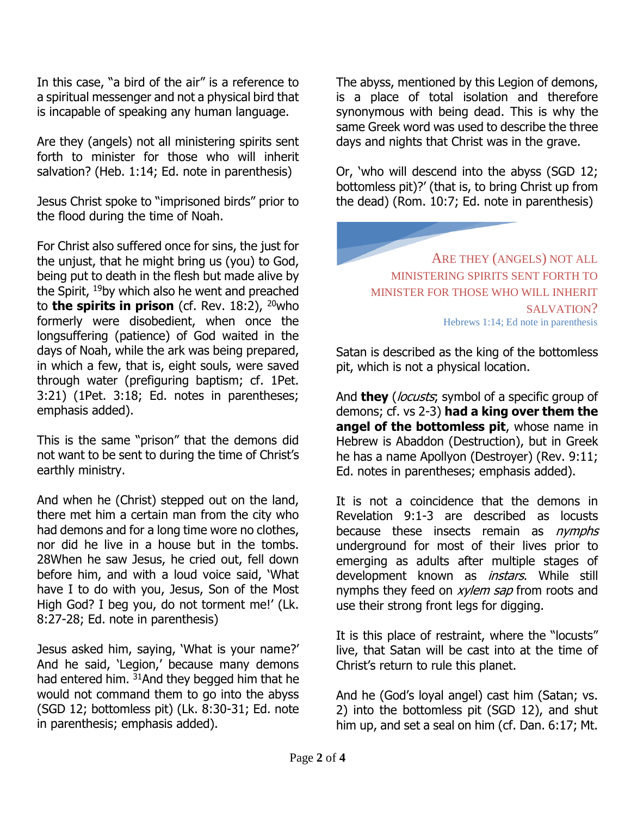In this case, "a bird of the air" is a reference to a spiritual messenger and not a physical bird that is incapable of speaking any human language.

Are they (angels) not all ministering spirits sent forth to minister for those who will inherit salvation? (Heb. 1:14; Ed. note in parenthesis)

Jesus Christ spoke to "imprisoned birds" prior to the flood during the time of Noah.

For Christ also suffered once for sins, the just for the unjust, that he might bring us (you) to God, being put to death in the flesh but made alive by the Spirit, <sup>19</sup>by which also he went and preached to **the spirits in prison** (cf. Rev. 18:2), <sup>20</sup>who formerly were disobedient, when once the longsuffering (patience) of God waited in the days of Noah, while the ark was being prepared, in which a few, that is, eight souls, were saved through water (prefiguring baptism; cf. 1Pet. 3:21) (1Pet. 3:18; Ed. notes in parentheses; emphasis added).

This is the same "prison" that the demons did not want to be sent to during the time of Christ's earthly ministry.

And when he (Christ) stepped out on the land, there met him a certain man from the city who had demons and for a long time wore no clothes, nor did he live in a house but in the tombs. 28When he saw Jesus, he cried out, fell down before him, and with a loud voice said, 'What have I to do with you, Jesus, Son of the Most High God? I beg you, do not torment me!' (Lk. 8:27-28; Ed. note in parenthesis)

Jesus asked him, saying, 'What is your name?' And he said, 'Legion,' because many demons had entered him.  $31$ And they begged him that he would not command them to go into the abyss (SGD 12; bottomless pit) (Lk. 8:30-31; Ed. note in parenthesis; emphasis added).

The abyss, mentioned by this Legion of demons, is a place of total isolation and therefore synonymous with being dead. This is why the same Greek word was used to describe the three days and nights that Christ was in the grave.

Or, 'who will descend into the abyss (SGD 12; bottomless pit)?' (that is, to bring Christ up from the dead) (Rom. 10:7; Ed. note in parenthesis)

> ARE THEY (ANGELS) NOT ALL MINISTERING SPIRITS SENT FORTH TO MINISTER FOR THOSE WHO WILL INHERIT SALVATION? Hebrews 1:14; Ed note in parenthesis

Satan is described as the king of the bottomless pit, which is not a physical location.

And **they** (*locusts*; symbol of a specific group of demons; cf. vs 2-3) **had a king over them the angel of the bottomless pit**, whose name in Hebrew is Abaddon (Destruction), but in Greek he has a name Apollyon (Destroyer) (Rev. 9:11; Ed. notes in parentheses; emphasis added).

It is not a coincidence that the demons in Revelation 9:1-3 are described as locusts because these insects remain as *nymphs* underground for most of their lives prior to emerging as adults after multiple stages of development known as *instars*. While still nymphs they feed on *xylem sap* from roots and use their strong front legs for digging.

It is this place of restraint, where the "locusts" live, that Satan will be cast into at the time of Christ's return to rule this planet.

And he (God's loyal angel) cast him (Satan; vs. 2) into the bottomless pit (SGD 12), and shut him up, and set a seal on him (cf. Dan. 6:17; Mt.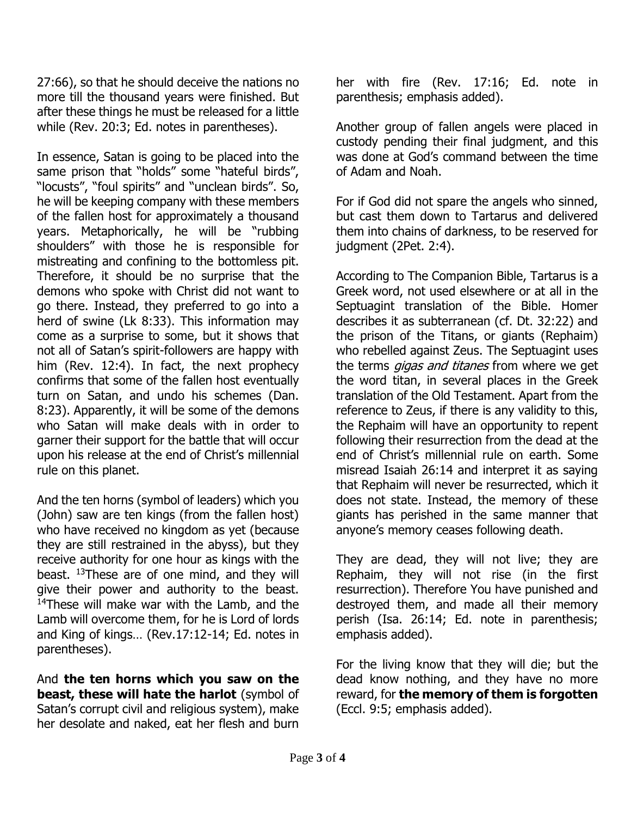27:66), so that he should deceive the nations no more till the thousand years were finished. But after these things he must be released for a little while (Rev. 20:3; Ed. notes in parentheses).

In essence, Satan is going to be placed into the same prison that "holds" some "hateful birds", "locusts", "foul spirits" and "unclean birds". So, he will be keeping company with these members of the fallen host for approximately a thousand years. Metaphorically, he will be "rubbing shoulders" with those he is responsible for mistreating and confining to the bottomless pit. Therefore, it should be no surprise that the demons who spoke with Christ did not want to go there. Instead, they preferred to go into a herd of swine (Lk 8:33). This information may come as a surprise to some, but it shows that not all of Satan's spirit-followers are happy with him (Rev. 12:4). In fact, the next prophecy confirms that some of the fallen host eventually turn on Satan, and undo his schemes (Dan. 8:23). Apparently, it will be some of the demons who Satan will make deals with in order to garner their support for the battle that will occur upon his release at the end of Christ's millennial rule on this planet.

And the ten horns (symbol of leaders) which you (John) saw are ten kings (from the fallen host) who have received no kingdom as yet (because they are still restrained in the abyss), but they receive authority for one hour as kings with the beast.  $13$ These are of one mind, and they will give their power and authority to the beast.  $14$ These will make war with the Lamb, and the Lamb will overcome them, for he is Lord of lords and King of kings… (Rev.17:12-14; Ed. notes in parentheses).

And **the ten horns which you saw on the beast, these will hate the harlot** (symbol of Satan's corrupt civil and religious system), make her desolate and naked, eat her flesh and burn

her with fire (Rev. 17:16; Ed. note in parenthesis; emphasis added).

Another group of fallen angels were placed in custody pending their final judgment, and this was done at God's command between the time of Adam and Noah.

For if God did not spare the angels who sinned, but cast them down to Tartarus and delivered them into chains of darkness, to be reserved for judgment (2Pet. 2:4).

According to The Companion Bible, Tartarus is a Greek word, not used elsewhere or at all in the Septuagint translation of the Bible. Homer describes it as subterranean (cf. Dt. 32:22) and the prison of the Titans, or giants (Rephaim) who rebelled against Zeus. The Septuagint uses the terms *gigas and titanes* from where we get the word titan, in several places in the Greek translation of the Old Testament. Apart from the reference to Zeus, if there is any validity to this, the Rephaim will have an opportunity to repent following their resurrection from the dead at the end of Christ's millennial rule on earth. Some misread Isaiah 26:14 and interpret it as saying that Rephaim will never be resurrected, which it does not state. Instead, the memory of these giants has perished in the same manner that anyone's memory ceases following death.

They are dead, they will not live; they are Rephaim, they will not rise (in the first resurrection). Therefore You have punished and destroyed them, and made all their memory perish (Isa. 26:14; Ed. note in parenthesis; emphasis added).

For the living know that they will die; but the dead know nothing, and they have no more reward, for **the memory of them is forgotten** (Eccl. 9:5; emphasis added).